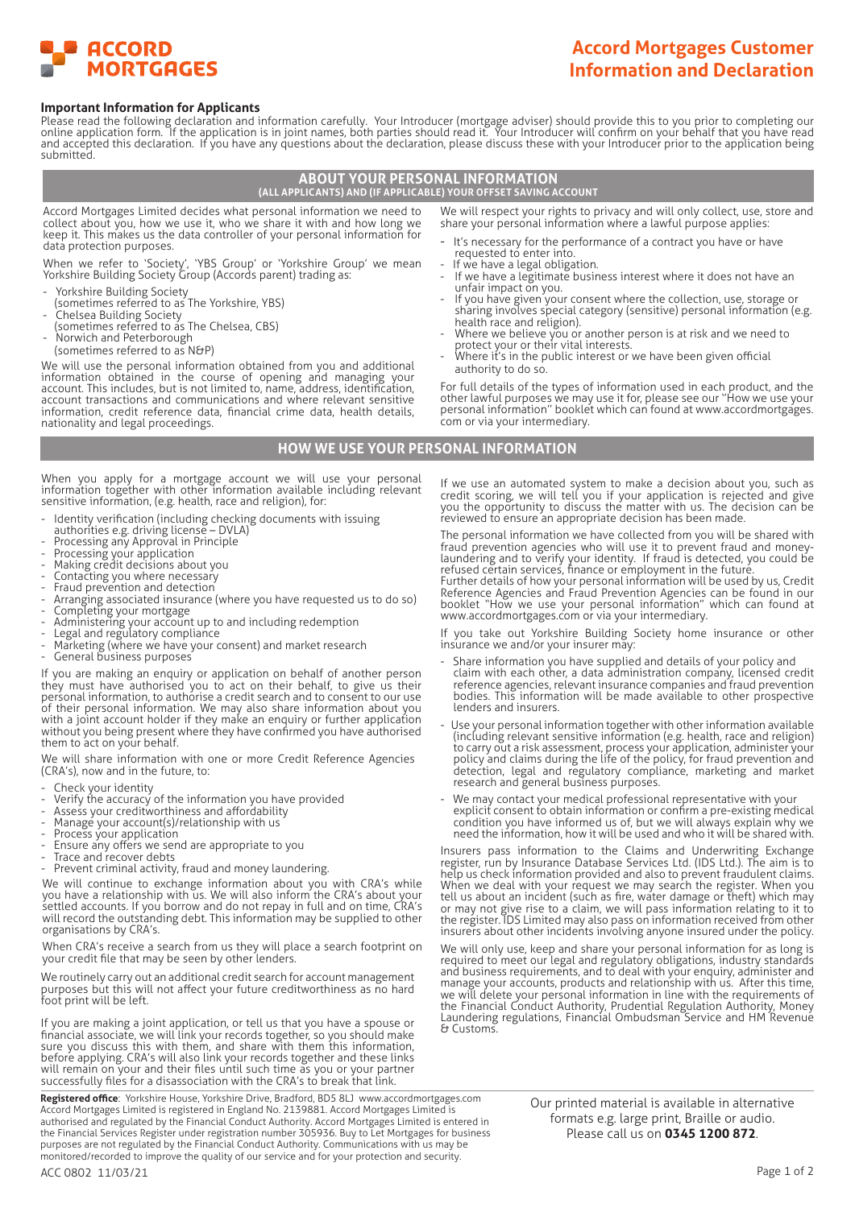

# **Accord Mortgages Customer Information and Declaration**

#### **Important Information for Applicants**

Please read the following declaration and information carefully. Your Introducer (mortgage adviser) should provide this to you prior to completing our online application form. If the application is in joint names, both parties should read it. Your Introducer will confirm on your behalf that you have read and accepted this declaration. If you have any questions about the declaration, please discuss these with your Introducer prior to the application being submitted.

# **ABOUT YOUR PERSONAL INFORMATION (ALL APPLICANTS) AND (IF APPLICABLE) YOUR OFFSET SAVING ACCOUNT**

Accord Mortgages Limited decides what personal information we need to collect about you, how we use it, who we share it with and how long we keep it. This makes us the data controller of your personal information for data protection purposes.

When we refer to 'Society', 'YBS Group' or 'Yorkshire Group' we mean Yorkshire Building Society Group (Accords parent) trading as:

- Yorkshire Building Society

- (sometimes referred to as The Yorkshire, YBS)
- Chelsea Building Society (sometimes referred to as The Chelsea, CBS)
- Norwich and Peterborough
- (sometimes referred to as N&P)

We will use the personal information obtained from you and additional information obtained in the course of opening and managing your account. This includes, but is not limited to, name, address, identification, account transactions and communications and where relevant sensitive information, credit reference data, financial crime data, health details, nationality and legal proceedings.

We will respect your rights to privacy and will only collect, use, store and share your personal information where a lawful purpose applies:

- It's necessary for the performance of a contract you have or have requested to enter into.
- If we have a legal obligation.
- If we have a legitimate business interest where it does not have an unfair impact on you.
- If you have given your consent where the collection, use, storage or sharing involves special category (sensitive) personal information (e.g. health race and religion).
- Where we believe you or another person is at risk and we need to protect your or their vital interests.
- Where it's in the public interest or we have been given official authority to do so.

For full details of the types of information used in each product, and the other lawful purposes we may use it for, please see our ''How we use your personal information'' booklet which can found at www.accordmortgages. com or via your intermediary.

#### **HOW WE USE YOUR PERSONAL INFORMATION**

When you apply for a mortgage account we will use your personal information together with other information available including relevant sensitive information, (e.g. health, race and religion), for:

- Identity verification (including checking documents with issuing
- authorities e.g. driving license DVLA)
- Processing any Approval in Principle
- Processing your application
- Making credit decisions about you
- Contacting you where necessary
- Fraud prevention and detection
- Arranging associated insurance (where you have requested us to do so)
- Completing your mortgage
- Administering your account up to and including redemption Legal and regulatory compliance
- Marketing (where we have your consent) and market research
- General business purposes

If you are making an enquiry or application on behalf of another person they must have authorised you to act on their behalf, to give us their personal information, to authorise a credit search and to consent to our use of their personal information. We may also share information about you with a joint account holder if they make an enquiry or further application without you being present where they have confirmed you have authorised them to act on your behalf.

We will share information with one or more Credit Reference Agencies (CRA's), now and in the future, to:

- Check your identity
- Verify the accuracy of the information you have provided
- Assess your creditworthiness and affordability
- Manage your account(s)/relationship with us
- 
- Process your application Ensure any offers we send are appropriate to you
- Trace and recover debts
- Prevent criminal activity, fraud and money laundering.

We will continue to exchange information about you with CRA's while you have a relationship with us. We will also inform the CRA's about your settled accounts. If you borrow and do not repay in full and on time, CRA's will record the outstanding debt. This information may be supplied to other organisations by CRA's.

When CRA's receive a search from us they will place a search footprint on your credit file that may be seen by other lenders.

We routinely carry out an additional credit search for account management purposes but this will not affect your future creditworthiness as no hard foot print will be left.

If you are making a joint application, or tell us that you have a spouse or financial associate, we will link your records together, so you should make sure you discuss this with them, and share with them this information, before applying. CRA's will also link your records together and these links will remain on your and their files until such time as you or your partner successfully files for a disassociation with the CRA's to break that link.

**Registered office**: Yorkshire House, Yorkshire Drive, Bradford, BD5 8LJ www.accordmortgages.com Accord Mortgages Limited is registered in England No. 2139881. Accord Mortgages Limited is authorised and regulated by the Financial Conduct Authority. Accord Mortgages Limited is entered in the Financial Services Register under registration number 305936. Buy to Let Mortgages for business purposes are not regulated by the Financial Conduct Authority. Communications with us may be perposes are not registered by the matricial embest rictionary: communications with as may be monitored/recorded to improve the quality of our service and for your protection and security.

If we use an automated system to make a decision about you, such as credit scoring, we will tell you if your application is rejected and give you the opportunity to discuss the matter with us. The decision can be reviewed to ensure an appropriate decision has been made.

The personal information we have collected from you will be shared with fraud prevention agencies who will use it to prevent fraud and moneylaundering and to verify your identity. If fraud is detected, you could be refused certain services, finance or employment in the future.

Further details of how your personal information will be used by us, Credit Reference Agencies and Fraud Prevention Agencies can be found in our booklet "How we use your personal information" which can found at www.accordmortgages.com or via your intermediary.

If you take out Yorkshire Building Society home insurance or other in you cance our finance we and/or your insurer may:

- Share information you have supplied and details of your policy and claim with each other, a data administration company, licensed credit reference agencies, relevant insurance companies and fraud prevention bodies. This information will be made available to other prospective lenders and insurers.
- Use your personal information together with other information available (including relevant sensitive information (e.g. health, race and religion) to carry out a risk assessment, process your application, administer your policy and claims during the life of the policy, for fraud prevention and detection, legal and regulatory compliance, marketing and market research and general business purposes.
- We may contact your medical professional representative with your explicit consent to obtain information or confirm a pre-existing medical condition you have informed us of, but we will always explain why we need the information, how it will be used and who it will be shared with.

Insurers pass information to the Claims and Underwriting Exchange register, run by Insurance Database Services Ltd. (IDS Ltd.). The aim is to help us check information provided and also to prevent fraudulent claims. When we deal with your request we may search the register. When you tell us about an incident (such as fire, water damage or theft) which may or may not give rise to a claim, we will pass information relating to it to the register. IDS Limited may also pass on information received from other insurers about other incidents involving anyone insured under the policy.

We will only use, keep and share your personal information for as long is required to meet our legal and regulatory obligations, industry standards and business requirements, and to deal with your enquiry, administer and manage your accounts, products and relationship with us. After this time, we will delete your personal information in line with the requirements of the Financial Conduct Authority, Prudential Regulation Authority, Money Laundering regulations, Financial Ombudsman Service and HM Revenue & Customs.

> Our printed material is available in alternative formats e.g. large print, Braille or audio. Please call us on **0345 1200 872**.